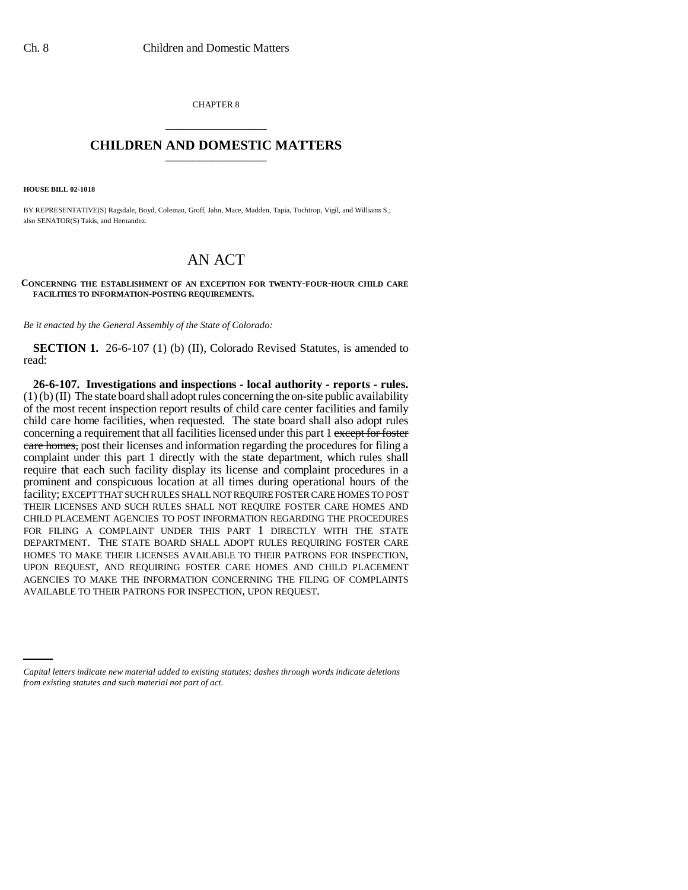CHAPTER 8 \_\_\_\_\_\_\_\_\_\_\_\_\_\_\_

## **CHILDREN AND DOMESTIC MATTERS** \_\_\_\_\_\_\_\_\_\_\_\_\_\_\_

**HOUSE BILL 02-1018**

BY REPRESENTATIVE(S) Ragsdale, Boyd, Coleman, Groff, Jahn, Mace, Madden, Tapia, Tochtrop, Vigil, and Williams S.; also SENATOR(S) Takis, and Hernandez.

## AN ACT

## **CONCERNING THE ESTABLISHMENT OF AN EXCEPTION FOR TWENTY-FOUR-HOUR CHILD CARE FACILITIES TO INFORMATION-POSTING REQUIREMENTS.**

*Be it enacted by the General Assembly of the State of Colorado:*

**SECTION 1.** 26-6-107 (1) (b) (II), Colorado Revised Statutes, is amended to read:

AVAILABLE TO THEIR PATRONS FOR INSPECTION, UPON REQUEST.**26-6-107. Investigations and inspections - local authority - reports - rules.**  $(1)$  (b) (II) The state board shall adopt rules concerning the on-site public availability of the most recent inspection report results of child care center facilities and family child care home facilities, when requested. The state board shall also adopt rules concerning a requirement that all facilities licensed under this part 1 except for foster care homes, post their licenses and information regarding the procedures for filing a complaint under this part 1 directly with the state department, which rules shall require that each such facility display its license and complaint procedures in a prominent and conspicuous location at all times during operational hours of the facility; EXCEPT THAT SUCH RULES SHALL NOT REQUIRE FOSTER CARE HOMES TO POST THEIR LICENSES AND SUCH RULES SHALL NOT REQUIRE FOSTER CARE HOMES AND CHILD PLACEMENT AGENCIES TO POST INFORMATION REGARDING THE PROCEDURES FOR FILING A COMPLAINT UNDER THIS PART 1 DIRECTLY WITH THE STATE DEPARTMENT. THE STATE BOARD SHALL ADOPT RULES REQUIRING FOSTER CARE HOMES TO MAKE THEIR LICENSES AVAILABLE TO THEIR PATRONS FOR INSPECTION, UPON REQUEST, AND REQUIRING FOSTER CARE HOMES AND CHILD PLACEMENT AGENCIES TO MAKE THE INFORMATION CONCERNING THE FILING OF COMPLAINTS

*Capital letters indicate new material added to existing statutes; dashes through words indicate deletions from existing statutes and such material not part of act.*